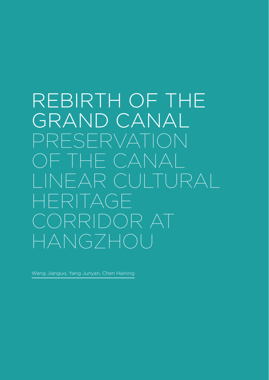# REBIRTH OF THE GRAND CANAL PRESERVATION OF THE CANAL LINEAR CULTURAL HERITAGE CORRIDOR AT HANGZHOU

Wang Jianguo, Yang Junyan, Chen Haining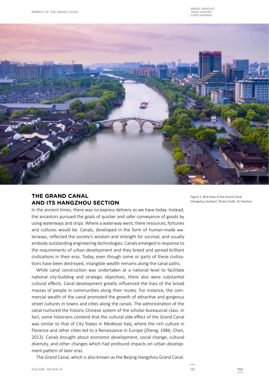

# **THE GRAND CANAL AND ITS HANGZHOU SECTION**

In the ancient imes, there was no express delivery as we have today. Instead, the ancestors pursued the goals of quicker and safer conveyance of goods by using waterways and ships. Where a waterway went, there resources, fortunes and cultures would be. Canals, developed in the form of human-made waterways, reflected the society's wisdom and strength for survival, and usually embody outstanding engineering technologies. Canals emerged in response to the requirements of urban development and they breed and spread brilliant civilizations in their eras. Today, even though some or parts of these civilizaions have been destroyed, intangible wealth remains along the canal paths.

While canal construction was undertaken at a national level to facilitate national city-building and strategic objectives, there also were substantial cultural effects. Canal development greatly influenced the lives of the broad masses of people in communities along their routes. For instance, the commercial wealth of the canal promoted the growth of attractive and gorgeous street cultures in towns and cities along the canals. The administration of the canal nurtured the historic Chinese system of the scholar-bureaucrat class. In fact, some historians contend that the cultural side efect of the Grand Canal was similar to that of City States in Medieval Italy, where the rich culture in Florence and other cities led to a Renaissance in Europe (Zheng, 1986; Chen, 2013). Canals brought about economic development, social change, cultural diversity, and other changes which had profound impacts on urban development patern of later eras.

The Grand Canal, which is also known as the Beijing-Hangzhou Grand Canal.

Figure 1: Bird View of the Grand Canal (Hangzhou Secion). Photo Credit: XU Haohao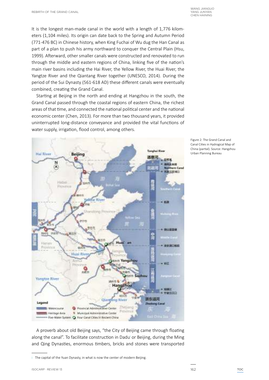It is the longest man-made canal in the world with a length of 1,776 kilometers (1,104 miles). Its origin can date back to the Spring and Autumn Period (771-476 BC) in Chinese history, when King Fuchai of Wu dug the Han Canal as part of a plan to push his army northward to conquer the Central Plain (Hsu, 1999). Aterward, other smaller canals were constructed and renovated to run through the middle and eastern regions of China, linking five of the nation's main river basins including the Hai River, the Yellow River, the Huai River, the Yangtze River and the Qiantang River together (UNESCO, 2014). During the period of the Sui Dynasty (561-618 AD) these diferent canals were eventually combined, creating the Grand Canal.

Staring at Beijing in the north and ending at Hangzhou in the south, the Grand Canal passed through the coastal regions of eastern China, the richest areas of that time, and connected the national political center and the national economic center (Chen, 2013). For more than two thousand years, it provided uninterrupted long-distance conveyance and provided the vital funcions of water supply, irrigation, flood control, among others.



Figure 2: The Grand Canal and Canal Cities in Hydrogical Map of China (parial). Source: Hangzhou Urban Planning Bureau

A proverb about old Beijing says, "the City of Beijing came through floating along the canal". To facilitate construction in Dadu<sup>i</sup> or Beijing, during the Ming and Qing Dynasties, enormous timbers, bricks and stones were transported

ISOCARP · REVIEW 13 162 TOC

i The capital of the Yuan Dynasty, in what is now the center of modern Beijing.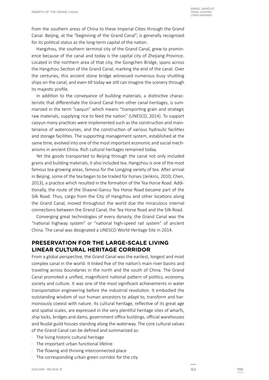from the southern areas of China to these Imperial Ciies through the Grand Canal. Beijing, at the "beginning of the Grand Canal", is generally recognized for its political status as the long-term capital of the nation.

Hangzhou, the southern terminal city of the Grand Canal, grew to prominence because of the canal and today is the capital city of Zhejiang Province. Located in the northern area of that city, the Gongchen Bridge, spans across the Hangzhou Secion of the Grand Canal, marking the end of the canal. Over the centuries, this ancient stone bridge witnessed numerous busy shutling ships on the canal, and even till today we still can imagine the scenery through its majestic profile.

In addition to the conveyance of building materials, a distinctive characterisic that difereniate the Grand Canal from other canal heritages, is summarized in the term "caoyun" which means "transporting grain and strategic raw materials, supplying rice to feed the nation" (UNESCO, 2014). To support caoyun many pracices were implemented such as the construcion and maintenance of watercourses, and the construction of various hydraulic facilities and storage facilities. The supporting management system, established at the same time, evolved into one of the most important economic and social mechanisms in ancient China. Rich cultural heritages remained today.

Yet the goods transported to Beijing through the canal not only included grains and building materials, it also included tea. Hangzhou is one of the most famous tea-growing areas, famous for the Longjing variety of tea. Ater arrival in Beijing, some of the tea began to be traded for horses (Jenkins, 2010; Chen, 2013), a practice which resulted in the formation of the Tea Horse Road. Addiionally, the route of the Shaanxi-Gansu Tea Horse Road became part of the Silk Road. Thus, cargo from the City of Hangzhou and other locations along the Grand Canal, moved throughout the world due the miraculous internal connections between the Grand Canal, the Tea Horse Road and the Silk Road.

Converging great technologies of every dynasty, the Grand Canal was the "national highway system" or "national high-speed rail system" of ancient China. The canal was designated a UNESCO World Heritage Site in 2014.

# **PRESERVATION FOR THE LARGE-SCALE LIVING LINEAR CULTURAL HERITAGE CORRIDOR**

From a global perspecive, the Grand Canal was the earliest, longest and most complex canal in the world. It linked five of the nation's main river basins and traveling across boundaries in the north and the south of China. The Grand Canal promoted a unified, magnificent national pattern of politics, economy, society and culture. It was one of the most significant achievements in water transportation engineering before the industrial revolution. It embodied the outstanding wisdom of our human ancestors to adapt to, transform and harmoniously coexist with nature. Its cultural heritage, relecive of its great age and spatial scales, are expressed in the very plentiful heritage sites of wharfs, ship locks, bridges and dams, government office buildings, official warehouses and feudal guild houses standing along the waterway. The core cultural values of the Grand Canal can be defined and summarized as:

- · The living historic cultural heritage
- $\cdot$  The important urban functional lifeline
- $\cdot$  The flowing and thriving interconnected place
- · The corresponding urban green corridor for the city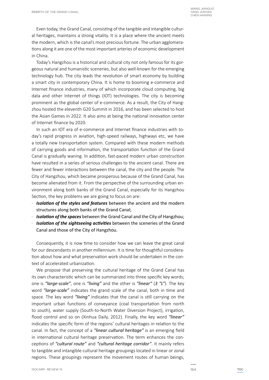Even today, the Grand Canal, consising of the tangible and intangible cultural heritages, maintains a strong vitality. It is a place where the ancient meets the modern, which is the canal's most precious fortune. The urban agglomeraions along it are one of the most important arteries of economic development in China.

Today's Hangzhou is a historical and cultural city not only famous for its gorgeous natural and humanisic sceneries, but also well-known for the emerging technology hub. The city leads the revoluion of smart economy by building a smart city in contemporary China. It is home to booming e-commerce and Internet finance industries, many of which incorporate cloud computing, big data and other Internet of things (IOT) technologies. The city is becoming prominent as the global center of e-commerce. As a result, the City of Hangzhou hosted the eleventh G20 Summit in 2016, and has been selected to host the Asian Games in 2022. It also aims at being the national innovation center of Internet finance by 2020.

In such an IOT era of e-commerce and Internet finance industries with today's rapid progress in aviation, high-speed railways, highways etc, we have a totally new transportation system. Compared with these modern methods of carrying goods and information, the transportation function of the Grand Canal is gradually waning. In addition, fast-paced modern urban construction have resulted in a series of serious challenges to the ancient canal. There are fewer and fewer interacions between the canal, the city and the people. The City of Hangzhou, which became prosperous because of the Grand Canal, has become alienated from it. From the perspecive of the surrounding urban environment along both banks of the Grand Canal, especially for its Hangzhou Section, the key problems we are going to focus on are:

- · *Isolaion of the styles and features* between the ancient and the modern structures along both banks of the Grand Canal;
- · *Isolaion of the spaces* between the Grand Canal and the City of Hangzhou;
- **Isolation of the sightseeing activities** between the sceneries of the Grand Canal and those of the City of Hangzhou.

Consequently, it is now ime to consider how we can leave the great canal for our descendants in another millennium. It is time for thoughtful consideration about how and what preservation work should be undertaken in the context of accelerated urbanization.

We propose that preserving the cultural heritage of the Grand Canal has its own characteristic which can be summarized into three specific key words; one is *"large-scale"*, one is *"living"* and the other is *"linear"* (*3 "L"*). The key word *"large-scale"* indicates the grand scale of the canal, both in ime and space. The key word "living" indicates that the canal is still carrying on the important urban funcions of conveyance (coal transportaion from north to south), water supply (South-to-North Water Diversion Project), irrigaion, flood control and so on (Xinhua Daily, 2012). Finally, the key word "linear" indicates the specific form of the regions' cultural heritages in relation to the canal. In fact, the concept of a "linear cultural heritage" is an emerging field in international cultural heritage preservation. The term enhances the concepions of *"cultural route"* and *"cultural heritage corridor"*. It mainly refers to tangible and intangible cultural heritage groupings located in linear or zonal regions. These groupings represent the movement routes of human beings,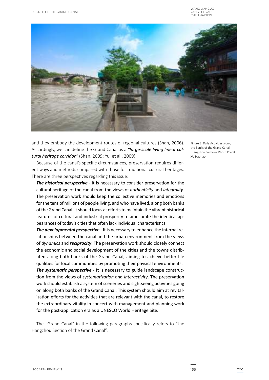

and they embody the development routes of regional cultures (Shan, 2006). Accordingly, we can define the Grand Canal as a "large-scale living linear cul*tural heritage corridor"* (Shan, 2009; Yu, et al., 2009).

Because of the canal's specific circumstances, preservation requires different ways and methods compared with those for traditional cultural heritages. There are three perspecives regarding this issue:

- · *The historical perspecive* It is necessary to consider preservaion for the cultural heritage of the canal from the views of *authenicity* and *integrality*. The preservation work should keep the collective memories and emotions for the tens of millions of people living, and who have lived, along both banks of the Grand Canal. It should focus at efforts to maintain the vibrant historical features of cultural and industrial prosperity to ameliorate the idenical appearances of today's cities that often lack individual characteristics.
- · *The developmental perspecive* It is necessary to enhance the internal relationships between the canal and the urban environment from the views of *dynamics* and *reciprocity*. The preservaion work should closely connect the economic and social development of the cities and the towns distributed along both banks of the Grand Canal, aiming to achieve beter life qualities for local communities by promoting their physical environments.
- The systematic perspective It is necessary to guide landscape construcion from the views of *systemaizaion* and *interacivity*. The preservaion work should establish a system of sceneries and sightseeing activities going on along both banks of the Grand Canal. This system should aim at revitalization efforts for the activities that are relevant with the canal, to restore the extraordinary vitality in concert with management and planning work for the post-application era as a UNESCO World Heritage Site.

The "Grand Canal" in the following paragraphs specifically refers to "the Hangzhou Secion of the Grand Canal".

Figure 3: Daily Activities along the Banks of the Grand Canal (Hangzhou Secion). Photo Credit: XU Haohao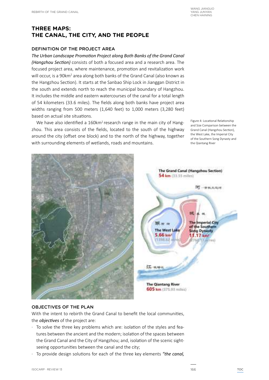# **THREE MAPS: THE CANAL, THE CITY, AND THE PEOPLE**

#### DEFINITION OF THE PROJECT AREA

*The Urban Landscape Promoion Project along Both Banks of the Grand Canal (Hangzhou Secion)* consists of both a focused area and a research area. The focused project area, where maintenance, promotion and revitalization work will occur, is a 90km<sup>2</sup> area along both banks of the Grand Canal (also known as the Hangzhou Secion). It starts at the Sanbao Ship Lock in Jianggan District in the south and extends north to reach the municipal boundary of Hangzhou. It includes the middle and eastern watercourses of the canal for a total length of 54 kilometers (33.6 miles). The fields along both banks have project area widths ranging from 500 meters (1,640 feet) to 1,000 meters (3,280 feet) based on actual site situations.

We have also identified a 160km<sup>2</sup> research range in the main city of Hangzhou. This area consists of the fields, located to the south of the highway around the city (offset one block) and to the north of the highway, together with surrounding elements of wetlands, roads and mountains.

Figure 4: Locational Relationship and Size Comparison between the Grand Canal (Hangzhou Secion), the West Lake, the Imperial City of the Southern Song Dynasty and the Qiantang River

With the intent to rebirth the Grand Canal to benefit the local communities,

 $\cdot$  To solve the three key problems which are: isolation of the styles and features between the ancient and the modern; isolation of the spaces between

· To provide design soluions for each of the three key elements *"the canal,* 

the *objecives* of the project are:

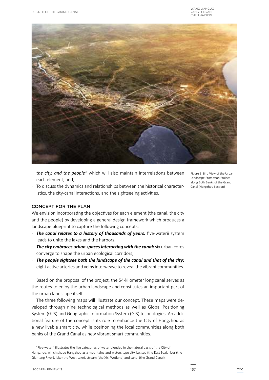

the city, and the people" which will also maintain interrelations between Figure 5: Bird View of the Urban each element; and,

 · To discuss the dynamics and relaionships between the historical characteristics, the city-canal interactions, and the sightseeing activities.

Landscape Promotion Project along Both Banks of the Grand Canal (Hangzhou Secion)

#### CONCEPT FOR THE PLAN

We envision incorporating the objectives for each element (the canal, the city and the people) by developing a general design framework which produces a landscape blueprint to capture the following concepts:

- · *The canal relates to a history of thousands of years:* ive-waterii system leads to unite the lakes and the harbors;
- · *The city embraces urban spaces interacing with the canal:* six urban cores converge to shape the urban ecological corridors;
- · *The people sightsee both the landscape of the canal and that of the city:*  eight active arteries and veins interweave to reveal the vibrant communities.

Based on the proposal of the project, the 54-kilometer long canal serves as the routes to enjoy the urban landscape and consitutes an important part of the urban landscape itself.

The three following maps will illustrate our concept. These maps were developed through nine technological methods as well as Global Positioning System (GPS) and Geographic Information System (GIS) technologies. An addiional feature of the concept is its role to enhance the City of Hangzhou as a new livable smart city, while positioning the local communities along both banks of the Grand Canal as new vibrant smart communities.

ii "Five-water" illustrates the five categories of water blended in the natural basis of the City of Hangzhou, which shape Hangzhou as a mountains-and-waters type city, i.e. sea (the East Sea), river (the Qiantang River), lake (the West Lake), stream (the Xixi Wetland) and canal (the Grand Canal).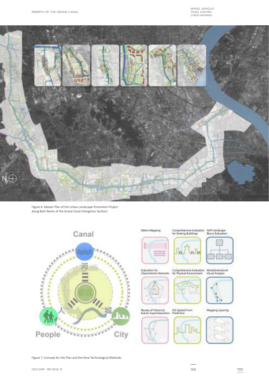

Figure 6: Master Plan of the Urban Landscape Promotion Project along Both Banks of the Grand Canal (Hangzhou Secion)



Mattic Mapping

**Evaluation for**<br>Characteristic Gersents





Comprehensive Exskurson WHP Linciscape<br>Nor Entiting Buildings Blumy Dynkuston



Comprehensive Exhartion<br>for Physical Environment



Routes of Historical<br>Events Superingsocition **US Spotial Permy**<br>Plack-Eco





**Micewing Leyering** 



Figure 7: Concept for the Plan and the Nine Technological Methods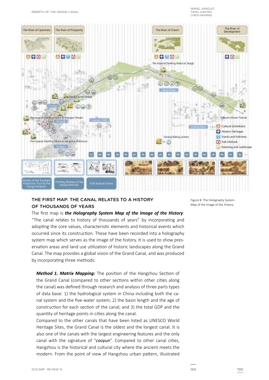WANG JIANGUO YANG JUNYAN CHEN HAINING



## THE FIRST MAP: THE CANAL RELATES TO A HISTORY OF THOUSANDS OF YEARS

The first map is *the Holography System Map of the Image of the History*. "The canal relates to history of thousands of years" by incorporaing and adopting the core values, characteristic elements and historical events which occurred since its construcion. These have been recorded into a holography system map which serves as the image of the history. It is used to show preservation areas and land use utilization of historic landscapes along the Grand Canal. The map provides a global vision of the Grand Canal, and was produced by incorporating three methods:

*Method 1. Matrix Mapping:* The position of the Hangzhou Section of the Grand Canal (compared to other sections within other cities along the canal) was defined through research and analysis of three parts types of data base: 1) the hydrological system in China including both the canal system and the five-water system; 2) the basin length and the age of construcion for each secion of the canal; and 3) the total GDP and the quantity of heritage points in cities along the canal.

Compared to the other canals that have been listed as UNESCO World Heritage Sites, the Grand Canal is the oldest and the longest canal. It is also one of the canals with the largest engineering features and the only canal with the signature of "caoyun". Compared to other canal cities, Hangzhou is the historical and cultural city where the ancient meets the modern. From the point of view of Hangzhou urban patern, illustrated

Figure 8: The Holography System Map of the Image of the History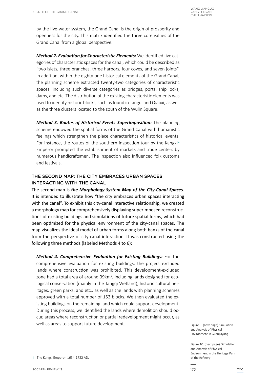by the five-water system, the Grand Canal is the origin of prosperity and openness for the city. This matrix identified the three core values of the Grand Canal from a global perspecive.

*Method 2. Evaluation for Characteristic Elements:* **We identified five cat**egories of characterisic spaces for the canal, which could be described as "two islets, three branches, three harbors, four coves, and seven joints". In addition, within the eighty-one historical elements of the Grand Canal, the planning scheme extracted twenty-two categories of characterisic spaces, including such diverse categories as bridges, ports, ship locks, dams, and etc. The distribution of the existing characteristic elements was used to idenify historic blocks, such as found in Tangqi and Qiaoxi, as well as the three clusters located to the south of the Wulin Square.

*Method 3. Routes of Historical Events Superimposition:* **The planning** scheme endowed the spatial forms of the Grand Canal with humanistic feelings which strengthen the place characterisics of historical events. For instance, the routes of the southern inspection tour by the Kangxiiii Emperor prompted the establishment of markets and trade centers by numerous handicraftsmen. The inspection also influenced folk customs and fesivals.

### THE SECOND MAP: THE CITY EMBRACES URBAN SPACES INTERACTING WITH THE CANAL

The second map is *the Morphology System Map of the City-Canal Spaces*. It is intended to illustrate how "the city embraces urban spaces interacting with the canal". To exhibit this city-canal interactive relationship, we created a morphology map for comprehensively displaying superimposed reconstructions of existing buildings and simulations of future spatial forms, which had been optimized for the physical environment of the city-canal spaces. The map visualizes the ideal model of urban forms along both banks of the canal from the perspecive of city-canal interacion. It was constructed using the following three methods (labeled Methods 4 to 6):

*Method 4. Comprehensive Evaluaion for Exising Buildings:* For the comprehensive evaluation for existing buildings, the project excluded lands where construcion was prohibited. This development-excluded zone had a total area of around 39km<sup>2</sup>, including lands designed for ecological conservation (mainly in the Tangqi Wetland), historic cultural heritages, green parks, and etc., as well as the lands with planning schemes approved with a total number of 153 blocks. We then evaluated the existing buildings on the remaining land which could support development. During this process, we identified the lands where demolition should occur, areas where reconstrucion or parial redevelopment might occur, as well as areas to support future development.

Figure 9: (next page) Simulation and Analysis of Physical Environment in Guanjiayang

Figure 10: (next page) Simulation and Analysis of Physical Environment in the Heritage Park of the Refinery

iii The Kangxi Emperor, 1654-1722 AD.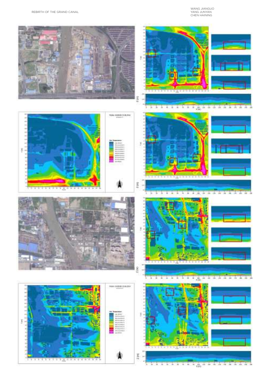WANG JIANGUO YANG JUNYAN CHEN HAINING

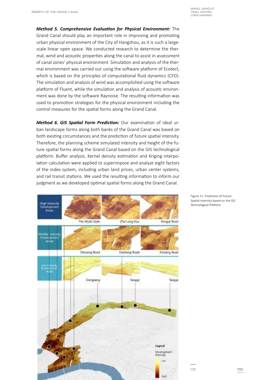*Method 5. Comprehensive Evaluaion for Physical Environment:* The Grand Canal should play an important role in improving and promoting urban physical environment of the City of Hangzhou, as it is such a largescale linear open space. We conducted research to determine the thermal, wind and acousic properies along the canal to assist in assessment of canal zones' physical environment. Simulaion and analysis of the thermal environment was carried out using the sotware plaform of Ecotect, which is based on the principles of computational fluid dynamics (CFD). The simulation and analysis of wind was accomplished using the software platform of Fluent, while the simulation and analysis of acoustic environment was done by the software Raynoise. The resulting information was used to promotion strategies for the physical environment including the control measures for the spatial forms along the Grand Canal.

*Method 6. GIS Spatial Form Prediction: Our examination of ideal ur*ban landscape forms along both banks of the Grand Canal was based on both existing circumstances and the prediction of future spatial intensity. Therefore, the planning scheme simulated intensity and height of the future spatial forms along the Grand Canal based on the GIS technological platform. Buffer analysis, Kernel density estimation and Kriging interpolation calculation were applied to superimpose and analyze eight factors of the index system, including urban land prices, urban center systems, and rail transit stations. We used the resulting information to inform our judgment as we developed optimal spatial forms along the Grand Canal.



Figure 11: Predicion of Future Spatial Intensity based on the GIS Technological Plaform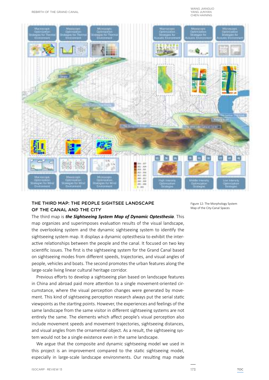WANG JIANGUO YANG JUNYAN CHEN HAINING



# THE THIRD MAP: THE PEOPLE SIGHTSEE LANDSCAPE OF THE CANAL AND THE CITY

The third map is *the Sightseeing System Map of Dynamic Optesthesia*. This map organizes and superimposes evaluation results of the visual landscape, the overlooking system and the dynamic sightseeing system to idenify the sightseeing system map. It displays a dynamic optesthesia to exhibit the interactive relationships between the people and the canal. It focused on two key scientific issues. The first is the sightseeing system for the Grand Canal based on sightseeing modes from diferent speeds, trajectories, and visual angles of people, vehicles and boats. The second promotes the urban features along the large-scale living linear cultural heritage corridor.

Previous efforts to develop a sightseeing plan based on landscape features in China and abroad paid more attention to a single movement-oriented circumstance, where the visual percepion changes were generated by movement. This kind of sightseeing percepion research always put the serial staic viewpoints as the staring points. However, the experiences and feelings of the same landscape from the same visitor in diferent sightseeing systems are not entirely the same. The elements which affect people's visual perception also include movement speeds and movement trajectories, sightseeing distances, and visual angles from the ornamental object. As a result, the sightseeing system would not be a single existence even in the same landscape.

We argue that the composite and dynamic sightseeing model we used in this project is an improvement compared to the static sightseeing model, especially in large-scale landscape environments. Our resulting map made Figure 12: The Morphology System Map of the City-Canal Spaces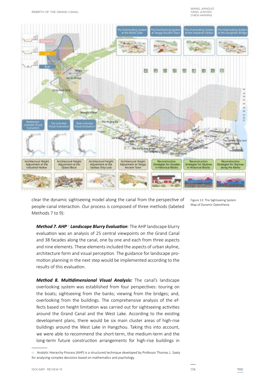

clear the dynamic sightseeing model along the canal from the perspecive of people-canal interacion. Our process is composed of three methods (labeled Methods 7 to 9):

Figure 13: The Sightseeing System Map of Dynamic Optesthesia

*Method 7. AHP* **Landscape Blurry Evaluation**: The AHP landscape blurry evaluation was an analysis of 25 central viewpoints on the Grand Canal and 38 facades along the canal, one by one and each from three aspects and nine elements. These elements included the aspects of urban skyline, architecture form and visual percepion. The guidance for landscape promotion planning in the next step would be implemented according to the results of this evaluation.

*Method 8. Mulidimensional Visual Analysis:* The canal's landscape overlooking system was established from four perspecives: touring on the boats; sightseeing from the banks; viewing from the bridges; and, overlooking from the buildings. The comprehensive analysis of the effects based on height limitation was carried out for sightseeing activities around the Grand Canal and the West Lake. According to the exising development plans, there would be six main cluster areas of high-rise buildings around the West Lake in Hangzhou. Taking this into account, we were able to recommend the short-term, the medium-term and the long-term future construcion arrangements for high-rise buildings in

iv Analytic Hierarchy Process (AHP) is a structured technique developed by Professor Thomas L. Saaty for analyzing complex decisions based on mathematics and psychology.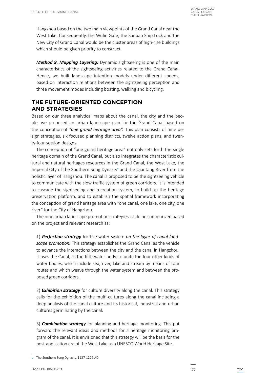Hangzhou based on the two main viewpoints of the Grand Canal near the West Lake. Consequently, the Wulin Gate, the Sanbao Ship Lock and the New City of Grand Canal would be the cluster areas of high-rise buildings which should be given priority to construct.

*Method 9. Mapping Layering:* Dynamic sightseeing is one of the main characteristics of the sightseeing activities related to the Grand Canal. Hence, we built landscape intention models under different speeds, based on interaction relations between the sightseeing perception and three movement modes including boating, walking and bicycling.

# **THE FUTURE-ORIENTED CONCEPTION AND STRATEGIES**

Based on our three analyical maps about the canal, the city and the people, we proposed an urban landscape plan for the Grand Canal based on the concepion of *"one grand heritage area".* This plan consists of nine design strategies, six focused planning districts, twelve action plans, and twenty-four-section designs.

The conception of "one grand heritage area" not only sets forth the single heritage domain of the Grand Canal, but also integrates the characterisic cultural and natural heritages resources in the Grand Canal, the West Lake, the Imperial City of the Southern Song Dynasty<sup>®</sup> and the Qiantang River from the holistic layer of Hangzhou. The canal is proposed to be the sightseeing vehicle to communicate with the slow traffic system of green corridors. It is intended to cascade the sightseeing and recreation system, to build up the heritage preservation platform, and to establish the spatial framework incorporating the concepion of grand heritage area with "one canal, one lake, one city, one river" for the City of Hangzhou.

The nine urban landscape promotion strategies could be summarized based on the project and relevant research as:

1) *Perfecion strategy* for ive-water system *on the layer of canal land***scape promotion:** This strategy establishes the Grand Canal as the vehicle to advance the interacions between the city and the canal in Hangzhou. It uses the Canal, as the fifth water body, to unite the four other kinds of water bodies, which include sea, river, lake and stream by means of tour routes and which weave through the water system and between the proposed green corridors.

2) **Exhibition strategy** for culture diversity along the canal. This strategy calls for the exhibition of the multi-cultures along the canal including a deep analysis of the canal culture and its historical, industrial and urban cultures germinating by the canal.

3) **Combination strategy** for planning and heritage monitoring. This put forward the relevant ideas and methods for a heritage monitoring program of the canal. It is envisioned that this strategy will be the basis for the post-application era of the West Lake as a UNESCO World Heritage Site.

v The Southern Song Dynasty, 1127-1279 AD.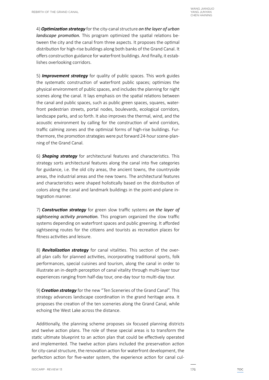4) **Optimization strategy** for the city-canal structure on the layer of urban *landscape promotion*. This program optimized the spatial relations between the city and the canal from three aspects. It proposes the optimal distribution for high-rise buildings along both banks of the Grand Canal. It offers construction guidance for waterfront buildings. And finally, it establishes overlooking corridors.

5) *Improvement strategy* for quality of public spaces. This work guides the systematic construction of waterfront public spaces; optimizes the physical environment of public spaces, and includes the planning for night scenes along the canal. It lays emphasis on the spatial relations between the canal and public spaces, such as public green spaces, squares, waterfront pedestrian streets, portal nodes, boulevards, ecological corridors, landscape parks, and so forth. It also improves the thermal, wind, and the acoustic environment by calling for the construction of wind corridors, traffic calming zones and the optimizal forms of high-rise buildings. Furthermore, the promotion strategies were put forward 24-hour scene-planning of the Grand Canal.

6) *Shaping strategy* for architectural features and characterisics. This strategy sorts architectural features along the canal into five categories for guidance, i.e. the old city areas, the ancient towns, the countryside areas, the industrial areas and the new towns. The architectural features and characteristics were shaped holistically based on the distribution of colors along the canal and landmark buildings in the point-and-plane integration manner.

7) **Construction strategy** for green slow traffic systems on the layer of sightseeing activity promotion. This program organized the slow traffic systems depending on waterfront spaces and public greening. It afforded sightseeing routes for the citizens and tourists as recreation places for fitness activities and leisure.

8) **Revitalization strategy** for canal vitalities. This section of the overall plan calls for planned activities, incorporating traditional sports, folk performances, special cuisines and tourism, along the canal in order to illustrate an in-depth perception of canal vitality through multi-layer tour experiences ranging from half-day tour, one-day tour to muli-day tour.

9) **Creation strategy** for the new "Ten Sceneries of the Grand Canal". This strategy advances landscape coordination in the grand heritage area. It proposes the creation of the ten sceneries along the Grand Canal, while echoing the West Lake across the distance.

Additionally, the planning scheme proposes six focused planning districts and twelve action plans. The role of these special areas is to transform the static ultimate blueprint to an action plan that could be effectively operated and implemented. The twelve action plans included the preservation action for city-canal structure, the renovation action for waterfront development, the perfection action for five-water system, the experience action for canal cul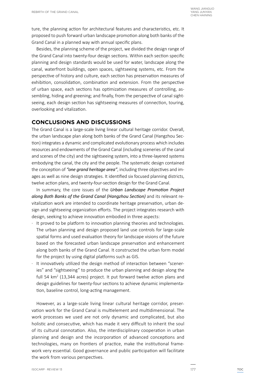ture, the planning acion for architectural features and characterisics, etc. It proposed to push forward urban landscape promotion along both banks of the Grand Canal in a planned way with annual specific plans.

Besides, the planning scheme of the project, we divided the design range of the Grand Canal into twenty-four design sections. Within each section specific planning and design standards would be used for water, landscape along the canal, waterfront buildings, open spaces, sightseeing systems, etc. From the perspecive of history and culture, each secion has preservaion measures of exhibition, consolidation, combination and extension. From the perspective of urban space, each secions has opimizaion measures of controlling, assembling, hiding and greening; and finally, from the perspective of canal sightseeing, each design section has sightseeing measures of connection, touring, overlooking and vitalization.

#### **CONCLUSIONS AND DISCUSSIONS**

The Grand Canal is a large-scale living linear cultural heritage corridor. Overall, the urban landscape plan along both banks of the Grand Canal (Hangzhou Section) integrates a dynamic and complicated evolutionary process which includes resources and endowments of the Grand Canal (including sceneries of the canal and scenes of the city) and the sightseeing system, into a three-layered systems embodying the canal, the city and the people. The systematic design contained the concepion of *"one grand heritage area"*, including three objecives and images as well as nine design strategies. It identified six focused planning districts, twelve action plans, and twenty-four-section design for the Grand Canal.

In summary, the core issues of the *Urban Landscape Promoion Project along Both Banks of the Grand Canal (Hangzhou Secion)* and its relevant revitalization work are intended to coordinate heritage preservation, urban design and sightseeing organization efforts. The project integrates research with design, seeking to achieve innovation embodied in three aspects:

- $\cdot$  It proved to be platform to innovation planning theories and technologies. The urban planning and design proposed land use controls for large-scale spatial forms and used evaluation theory for landscape visions of the future based on the forecasted urban landscape preservaion and enhancement along both banks of the Grand Canal. It constructed the urban form model for the project by using digital plaforms such as GIS.
- It innovatively utilized the design method of interaction between "sceneries" and "sightseeing" to produce the urban planning and design along the full 54 km<sup>2</sup> (13,344 acres) project. It put forward twelve action plans and design guidelines for twenty-four secions to achieve dynamic implementation, baseline control, long-acting management.

However, as a large-scale living linear cultural heritage corridor, preservation work for the Grand Canal is multielement and multidimensional. The work processes we used are not only dynamic and complicated, but also holistic and consecutive, which has made it very difficult to inherit the soul of its cultural connotation. Also, the interdisciplinary cooperation in urban planning and design and the incorporation of advanced conceptions and technologies, many on frontiers of practice, make the institutional framework very essential. Good governance and public participation will facilitate the work from various perspectives.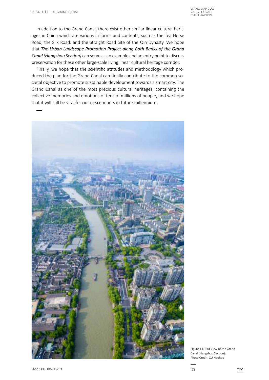In addition to the Grand Canal, there exist other similar linear cultural heritages in China which are various in forms and contents, such as the Tea Horse Road, the Silk Road, and the Straight Road Site of the Qin Dynasty. We hope that *The Urban Landscape Promotion Project along Both Banks of the Grand Canal (Hangzhou Secion)* can serve as an example and an entry point to discuss preservation for these other large-scale living linear cultural heritage corridor.

Finally, we hope that the scientific attitudes and methodology which produced the plan for the Grand Canal can finally contribute to the common societal objecive to promote sustainable development towards a smart city. The Grand Canal as one of the most precious cultural heritages, containing the collective memories and emotions of tens of millions of people, and we hope that it will still be vital for our descendants in future millennium.



Figure 14. Bird View of the Grand Canal (Hangzhou Secion). Photo Credit: XU Haohao